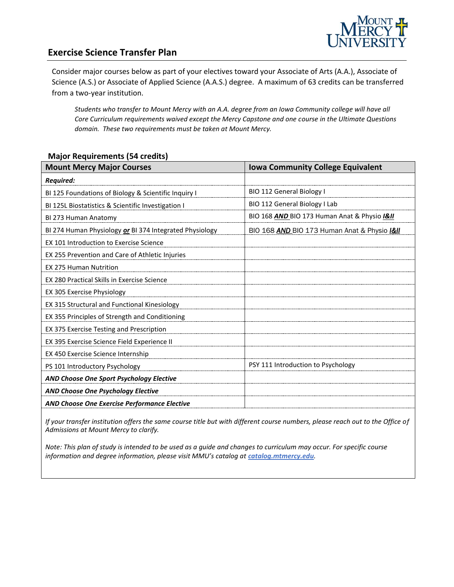

## **Exercise Science Transfer Plan**

Consider major courses below as part of your electives toward your Associate of Arts (A.A.), Associate of Science (A.S.) or Associate of Applied Science (A.A.S.) degree. A maximum of 63 credits can be transferred from a two-year institution.

*Students who transfer to Mount Mercy with an A.A. degree from an Iowa Community college will have all Core Curriculum requirements waived except the Mercy Capstone and one course in the Ultimate Questions domain. These two requirements must be taken at Mount Mercy.*

#### **Major Requirements (54 credits)**

| <b>Mount Mercy Major Courses</b>                        | <b>Iowa Community College Equivalent</b>     |
|---------------------------------------------------------|----------------------------------------------|
| Required:                                               |                                              |
| BI 125 Foundations of Biology & Scientific Inquiry I    | BIO 112 General Biology I                    |
| BI 125L Biostatistics & Scientific Investigation I      | BIO 112 General Biology I Lab                |
| BI 273 Human Anatomy                                    | BIO 168 AND BIO 173 Human Anat & Physio I&II |
| BI 274 Human Physiology or BI 374 Integrated Physiology | BIO 168 AND BIO 173 Human Anat & Physio I&II |
| EX 101 Introduction to Exercise Science                 |                                              |
| EX 255 Prevention and Care of Athletic Injuries         |                                              |
| <b>EX 275 Human Nutrition</b>                           |                                              |
| <b>EX 280 Practical Skills in Exercise Science</b>      |                                              |
| EX 305 Exercise Physiology                              |                                              |
| EX 315 Structural and Functional Kinesiology            |                                              |
| EX 355 Principles of Strength and Conditioning          |                                              |
| EX 375 Exercise Testing and Prescription                |                                              |
| EX 395 Exercise Science Field Experience II             |                                              |
| EX 450 Exercise Science Internship                      |                                              |
| PS 101 Introductory Psychology                          | PSY 111 Introduction to Psychology           |
| <b>AND Choose One Sport Psychology Elective</b>         |                                              |
| <b>AND Choose One Psychology Elective</b>               |                                              |
| <b>AND Choose One Exercise Performance Elective</b>     |                                              |

*If your transfer institution offers the same course title but with different course numbers, please reach out to the Office of Admissions at Mount Mercy to clarify.*

*Note: This plan of study is intended to be used as a guide and changes to curriculum may occur. For specific course*  information and degree information, please visit MMU's catalog at **catalog.mtmercy.edu**.